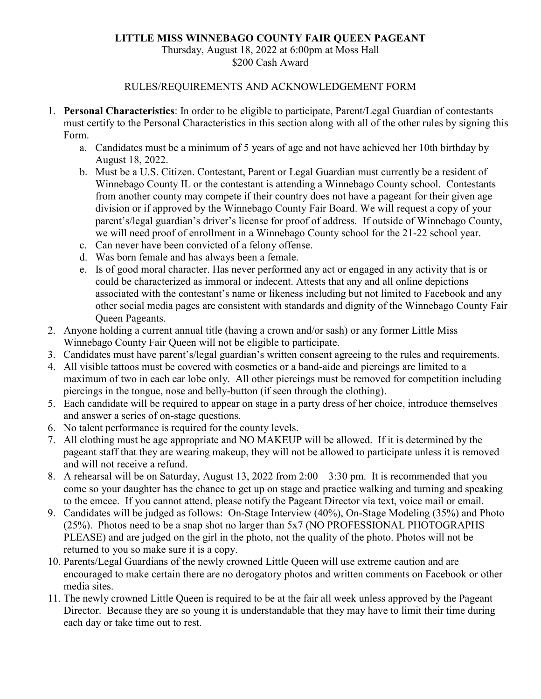## **LITTLE MISS WINNEBAGO COUNTY FAIR QUEEN PAGEANT**

## Thursday, August 18, 2022 at 6:00pm at Moss Hall \$200 Cash Award

## RULES/REQUIREMENTS AND ACKNOWLEDGEMENT FORM

- 1. **Personal Characteristics**: In order to be eligible to participate, Parent/Legal Guardian of contestants must certify to the Personal Characteristics in this section along with all of the other rules by signing this Form.
	- a. Candidates must be a minimum of 5 years of age and not have achieved her 10th birthday by August 18, 2022.
	- b. Must be a U.S. Citizen. Contestant, Parent or Legal Guardian must currently be a resident of Winnebago County IL or the contestant is attending a Winnebago County school. Contestants from another county may compete if their country does not have a pageant for their given age division or if approved by the Winnebago County Fair Board. We will request a copy of your parent's/legal guardian's driver's license for proof of address. If outside of Winnebago County, we will need proof of enrollment in a Winnebago County school for the 21-22 school year.
	- c. Can never have been convicted of a felony offense.
	- d. Was born female and has always been a female.
	- e. Is of good moral character. Has never performed any act or engaged in any activity that is or could be characterized as immoral or indecent. Attests that any and all online depictions associated with the contestant's name or likeness including but not limited to Facebook and any other social media pages are consistent with standards and dignity of the Winnebago County Fair Queen Pageants.
- 2. Anyone holding a current annual title (having a crown and/or sash) or any former Little Miss Winnebago County Fair Queen will not be eligible to participate.
- 3. Candidates must have parent's/legal guardian's written consent agreeing to the rules and requirements.
- 4. All visible tattoos must be covered with cosmetics or a band-aide and piercings are limited to a maximum of two in each ear lobe only. All other piercings must be removed for competition including piercings in the tongue, nose and belly-button (if seen through the clothing).
- 5. Each candidate will be required to appear on stage in a party dress of her choice, introduce themselves and answer a series of on-stage questions.
- 6. No talent performance is required for the county levels.
- 7. All clothing must be age appropriate and NO MAKEUP will be allowed. If it is determined by the pageant staff that they are wearing makeup, they will not be allowed to participate unless it is removed and will not receive a refund.
- 8. A rehearsal will be on Saturday, August 13, 2022 from 2:00 3:30 pm. It is recommended that you come so your daughter has the chance to get up on stage and practice walking and turning and speaking to the emcee. If you cannot attend, please notify the Pageant Director via text, voice mail or email.
- 9. Candidates will be judged as follows: On-Stage Interview (40%), On-Stage Modeling (35%) and Photo (25%). Photos need to be a snap shot no larger than 5x7 (NO PROFESSIONAL PHOTOGRAPHS PLEASE) and are judged on the girl in the photo, not the quality of the photo. Photos will not be returned to you so make sure it is a copy.
- 10. Parents/Legal Guardians of the newly crowned Little Queen will use extreme caution and are encouraged to make certain there are no derogatory photos and written comments on Facebook or other media sites.
- 11. The newly crowned Little Queen is required to be at the fair all week unless approved by the Pageant Director. Because they are so young it is understandable that they may have to limit their time during each day or take time out to rest.